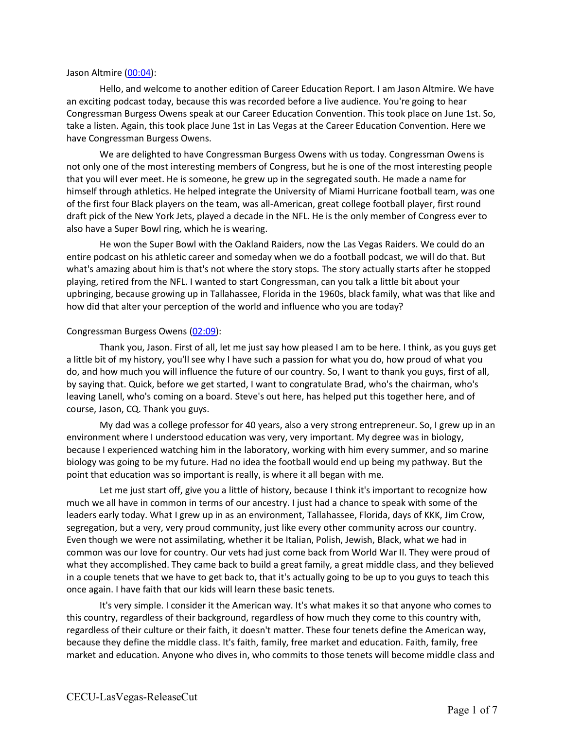#### Jason Altmire (00:04):

Hello, and welcome to another edition of Career Education Report. I am Jason Altmire. We have an exciting podcast today, because this was recorded before a live audience. You're going to hear Congressman Burgess Owens speak at our Career Education Convention. This took place on June 1st. So, take a listen. Again, this took place June 1st in Las Vegas at the Career Education Convention. Here we have Congressman Burgess Owens.

We are delighted to have Congressman Burgess Owens with us today. Congressman Owens is not only one of the most interesting members of Congress, but he is one of the most interesting people that you will ever meet. He is someone, he grew up in the segregated south. He made a name for himself through athletics. He helped integrate the University of Miami Hurricane football team, was one of the first four Black players on the team, was all-American, great college football player, first round draft pick of the New York Jets, played a decade in the NFL. He is the only member of Congress ever to also have a Super Bowl ring, which he is wearing.

He won the Super Bowl with the Oakland Raiders, now the Las Vegas Raiders. We could do an entire podcast on his athletic career and someday when we do a football podcast, we will do that. But what's amazing about him is that's not where the story stops. The story actually starts after he stopped playing, retired from the NFL. I wanted to start Congressman, can you talk a little bit about your upbringing, because growing up in Tallahassee, Florida in the 1960s, black family, what was that like and how did that alter your perception of the world and influence who you are today?

#### Congressman Burgess Owens (02:09):

Thank you, Jason. First of all, let me just say how pleased I am to be here. I think, as you guys get a little bit of my history, you'll see why I have such a passion for what you do, how proud of what you do, and how much you will influence the future of our country. So, I want to thank you guys, first of all, by saying that. Quick, before we get started, I want to congratulate Brad, who's the chairman, who's leaving Lanell, who's coming on a board. Steve's out here, has helped put this together here, and of course, Jason, CQ. Thank you guys.

My dad was a college professor for 40 years, also a very strong entrepreneur. So, I grew up in an environment where I understood education was very, very important. My degree was in biology, because I experienced watching him in the laboratory, working with him every summer, and so marine biology was going to be my future. Had no idea the football would end up being my pathway. But the point that education was so important is really, is where it all began with me.

Let me just start off, give you a little of history, because I think it's important to recognize how much we all have in common in terms of our ancestry. I just had a chance to speak with some of the leaders early today. What I grew up in as an environment, Tallahassee, Florida, days of KKK, Jim Crow, segregation, but a very, very proud community, just like every other community across our country. Even though we were not assimilating, whether it be Italian, Polish, Jewish, Black, what we had in common was our love for country. Our vets had just come back from World War II. They were proud of what they accomplished. They came back to build a great family, a great middle class, and they believed in a couple tenets that we have to get back to, that it's actually going to be up to you guys to teach this once again. I have faith that our kids will learn these basic tenets.

It's very simple. I consider it the American way. It's what makes it so that anyone who comes to this country, regardless of their background, regardless of how much they come to this country with, regardless of their culture or their faith, it doesn't matter. These four tenets define the American way, because they define the middle class. It's faith, family, free market and education. Faith, family, free market and education. Anyone who dives in, who commits to those tenets will become middle class and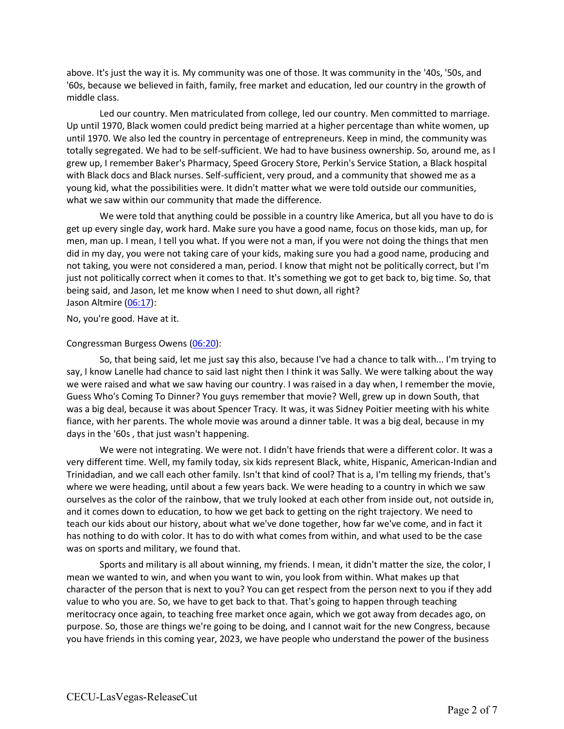above. It's just the way it is. My community was one of those. It was community in the '40s, '50s, and '60s, because we believed in faith, family, free market and education, led our country in the growth of middle class.

Led our country. Men matriculated from college, led our country. Men committed to marriage. Up until 1970, Black women could predict being married at a higher percentage than white women, up until 1970. We also led the country in percentage of entrepreneurs. Keep in mind, the community was totally segregated. We had to be self-sufficient. We had to have business ownership. So, around me, as I grew up, I remember Baker's Pharmacy, Speed Grocery Store, Perkin's Service Station, a Black hospital with Black docs and Black nurses. Self-sufficient, very proud, and a community that showed me as a young kid, what the possibilities were. It didn't matter what we were told outside our communities, what we saw within our community that made the difference.

We were told that anything could be possible in a country like America, but all you have to do is get up every single day, work hard. Make sure you have a good name, focus on those kids, man up, for men, man up. I mean, I tell you what. If you were not a man, if you were not doing the things that men did in my day, you were not taking care of your kids, making sure you had a good name, producing and not taking, you were not considered a man, period. I know that might not be politically correct, but I'm just not politically correct when it comes to that. It's something we got to get back to, big time. So, that being said, and Jason, let me know when I need to shut down, all right? Jason Altmire (06:17):

No, you're good. Have at it.

#### Congressman Burgess Owens (06:20):

So, that being said, let me just say this also, because I've had a chance to talk with... I'm trying to say, I know Lanelle had chance to said last night then I think it was Sally. We were talking about the way we were raised and what we saw having our country. I was raised in a day when, I remember the movie, Guess Who's Coming To Dinner? You guys remember that movie? Well, grew up in down South, that was a big deal, because it was about Spencer Tracy. It was, it was Sidney Poitier meeting with his white fiance, with her parents. The whole movie was around a dinner table. It was a big deal, because in my days in the '60s , that just wasn't happening.

We were not integrating. We were not. I didn't have friends that were a different color. It was a very different time. Well, my family today, six kids represent Black, white, Hispanic, American-Indian and Trinidadian, and we call each other family. Isn't that kind of cool? That is a, I'm telling my friends, that's where we were heading, until about a few years back. We were heading to a country in which we saw ourselves as the color of the rainbow, that we truly looked at each other from inside out, not outside in, and it comes down to education, to how we get back to getting on the right trajectory. We need to teach our kids about our history, about what we've done together, how far we've come, and in fact it has nothing to do with color. It has to do with what comes from within, and what used to be the case was on sports and military, we found that.

Sports and military is all about winning, my friends. I mean, it didn't matter the size, the color, I mean we wanted to win, and when you want to win, you look from within. What makes up that character of the person that is next to you? You can get respect from the person next to you if they add value to who you are. So, we have to get back to that. That's going to happen through teaching meritocracy once again, to teaching free market once again, which we got away from decades ago, on purpose. So, those are things we're going to be doing, and I cannot wait for the new Congress, because you have friends in this coming year, 2023, we have people who understand the power of the business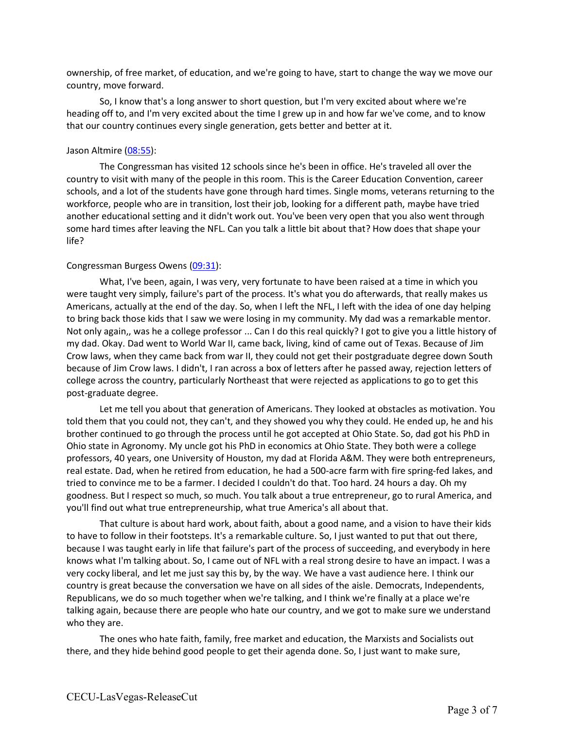ownership, of free market, of education, and we're going to have, start to change the way we move our country, move forward.

So, I know that's a long answer to short question, but I'm very excited about where we're heading off to, and I'm very excited about the time I grew up in and how far we've come, and to know that our country continues every single generation, gets better and better at it.

## Jason Altmire (08:55):

The Congressman has visited 12 schools since he's been in office. He's traveled all over the country to visit with many of the people in this room. This is the Career Education Convention, career schools, and a lot of the students have gone through hard times. Single moms, veterans returning to the workforce, people who are in transition, lost their job, looking for a different path, maybe have tried another educational setting and it didn't work out. You've been very open that you also went through some hard times after leaving the NFL. Can you talk a little bit about that? How does that shape your life?

### Congressman Burgess Owens (09:31):

What, I've been, again, I was very, very fortunate to have been raised at a time in which you were taught very simply, failure's part of the process. It's what you do afterwards, that really makes us Americans, actually at the end of the day. So, when I left the NFL, I left with the idea of one day helping to bring back those kids that I saw we were losing in my community. My dad was a remarkable mentor. Not only again,, was he a college professor ... Can I do this real quickly? I got to give you a little history of my dad. Okay. Dad went to World War II, came back, living, kind of came out of Texas. Because of Jim Crow laws, when they came back from war II, they could not get their postgraduate degree down South because of Jim Crow laws. I didn't, I ran across a box of letters after he passed away, rejection letters of college across the country, particularly Northeast that were rejected as applications to go to get this post-graduate degree.

Let me tell you about that generation of Americans. They looked at obstacles as motivation. You told them that you could not, they can't, and they showed you why they could. He ended up, he and his brother continued to go through the process until he got accepted at Ohio State. So, dad got his PhD in Ohio state in Agronomy. My uncle got his PhD in economics at Ohio State. They both were a college professors, 40 years, one University of Houston, my dad at Florida A&M. They were both entrepreneurs, real estate. Dad, when he retired from education, he had a 500-acre farm with fire spring-fed lakes, and tried to convince me to be a farmer. I decided I couldn't do that. Too hard. 24 hours a day. Oh my goodness. But I respect so much, so much. You talk about a true entrepreneur, go to rural America, and you'll find out what true entrepreneurship, what true America's all about that.

That culture is about hard work, about faith, about a good name, and a vision to have their kids to have to follow in their footsteps. It's a remarkable culture. So, I just wanted to put that out there, because I was taught early in life that failure's part of the process of succeeding, and everybody in here knows what I'm talking about. So, I came out of NFL with a real strong desire to have an impact. I was a very cocky liberal, and let me just say this by, by the way. We have a vast audience here. I think our country is great because the conversation we have on all sides of the aisle. Democrats, Independents, Republicans, we do so much together when we're talking, and I think we're finally at a place we're talking again, because there are people who hate our country, and we got to make sure we understand who they are.

The ones who hate faith, family, free market and education, the Marxists and Socialists out there, and they hide behind good people to get their agenda done. So, I just want to make sure,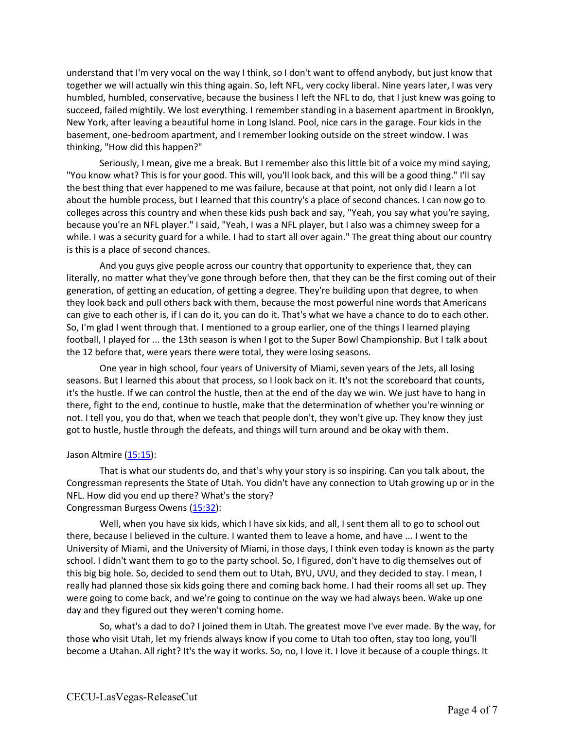understand that I'm very vocal on the way I think, so I don't want to offend anybody, but just know that together we will actually win this thing again. So, left NFL, very cocky liberal. Nine years later, I was very humbled, humbled, conservative, because the business I left the NFL to do, that I just knew was going to succeed, failed mightily. We lost everything. I remember standing in a basement apartment in Brooklyn, New York, after leaving a beautiful home in Long Island. Pool, nice cars in the garage. Four kids in the basement, one-bedroom apartment, and I remember looking outside on the street window. I was thinking, "How did this happen?"

Seriously, I mean, give me a break. But I remember also this little bit of a voice my mind saying, "You know what? This is for your good. This will, you'll look back, and this will be a good thing." I'll say the best thing that ever happened to me was failure, because at that point, not only did I learn a lot about the humble process, but I learned that this country's a place of second chances. I can now go to colleges across this country and when these kids push back and say, "Yeah, you say what you're saying, because you're an NFL player." I said, "Yeah, I was a NFL player, but I also was a chimney sweep for a while. I was a security guard for a while. I had to start all over again." The great thing about our country is this is a place of second chances.

And you guys give people across our country that opportunity to experience that, they can literally, no matter what they've gone through before then, that they can be the first coming out of their generation, of getting an education, of getting a degree. They're building upon that degree, to when they look back and pull others back with them, because the most powerful nine words that Americans can give to each other is, if I can do it, you can do it. That's what we have a chance to do to each other. So, I'm glad I went through that. I mentioned to a group earlier, one of the things I learned playing football, I played for ... the 13th season is when I got to the Super Bowl Championship. But I talk about the 12 before that, were years there were total, they were losing seasons.

One year in high school, four years of University of Miami, seven years of the Jets, all losing seasons. But I learned this about that process, so I look back on it. It's not the scoreboard that counts, it's the hustle. If we can control the hustle, then at the end of the day we win. We just have to hang in there, fight to the end, continue to hustle, make that the determination of whether you're winning or not. I tell you, you do that, when we teach that people don't, they won't give up. They know they just got to hustle, hustle through the defeats, and things will turn around and be okay with them.

#### Jason Altmire (15:15):

That is what our students do, and that's why your story is so inspiring. Can you talk about, the Congressman represents the State of Utah. You didn't have any connection to Utah growing up or in the NFL. How did you end up there? What's the story? Congressman Burgess Owens (15:32):

Well, when you have six kids, which I have six kids, and all, I sent them all to go to school out there, because I believed in the culture. I wanted them to leave a home, and have ... I went to the University of Miami, and the University of Miami, in those days, I think even today is known as the party school. I didn't want them to go to the party school. So, I figured, don't have to dig themselves out of this big big hole. So, decided to send them out to Utah, BYU, UVU, and they decided to stay. I mean, I really had planned those six kids going there and coming back home. I had their rooms all set up. They were going to come back, and we're going to continue on the way we had always been. Wake up one day and they figured out they weren't coming home.

So, what's a dad to do? I joined them in Utah. The greatest move I've ever made. By the way, for those who visit Utah, let my friends always know if you come to Utah too often, stay too long, you'll become a Utahan. All right? It's the way it works. So, no, I love it. I love it because of a couple things. It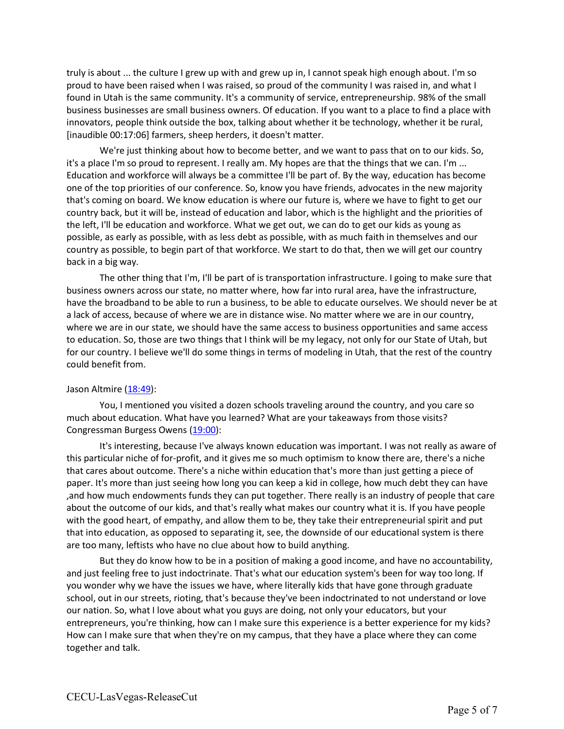truly is about ... the culture I grew up with and grew up in, I cannot speak high enough about. I'm so proud to have been raised when I was raised, so proud of the community I was raised in, and what I found in Utah is the same community. It's a community of service, entrepreneurship. 98% of the small business businesses are small business owners. Of education. If you want to a place to find a place with innovators, people think outside the box, talking about whether it be technology, whether it be rural, [inaudible 00:17:06] farmers, sheep herders, it doesn't matter.

We're just thinking about how to become better, and we want to pass that on to our kids. So, it's a place I'm so proud to represent. I really am. My hopes are that the things that we can. I'm ... Education and workforce will always be a committee I'll be part of. By the way, education has become one of the top priorities of our conference. So, know you have friends, advocates in the new majority that's coming on board. We know education is where our future is, where we have to fight to get our country back, but it will be, instead of education and labor, which is the highlight and the priorities of the left, I'll be education and workforce. What we get out, we can do to get our kids as young as possible, as early as possible, with as less debt as possible, with as much faith in themselves and our country as possible, to begin part of that workforce. We start to do that, then we will get our country back in a big way.

The other thing that I'm, I'll be part of is transportation infrastructure. I going to make sure that business owners across our state, no matter where, how far into rural area, have the infrastructure, have the broadband to be able to run a business, to be able to educate ourselves. We should never be at a lack of access, because of where we are in distance wise. No matter where we are in our country, where we are in our state, we should have the same access to business opportunities and same access to education. So, those are two things that I think will be my legacy, not only for our State of Utah, but for our country. I believe we'll do some things in terms of modeling in Utah, that the rest of the country could benefit from.

# Jason Altmire (18:49):

You, I mentioned you visited a dozen schools traveling around the country, and you care so much about education. What have you learned? What are your takeaways from those visits? Congressman Burgess Owens (19:00):

It's interesting, because I've always known education was important. I was not really as aware of this particular niche of for-profit, and it gives me so much optimism to know there are, there's a niche that cares about outcome. There's a niche within education that's more than just getting a piece of paper. It's more than just seeing how long you can keep a kid in college, how much debt they can have ,and how much endowments funds they can put together. There really is an industry of people that care about the outcome of our kids, and that's really what makes our country what it is. If you have people with the good heart, of empathy, and allow them to be, they take their entrepreneurial spirit and put that into education, as opposed to separating it, see, the downside of our educational system is there are too many, leftists who have no clue about how to build anything.

But they do know how to be in a position of making a good income, and have no accountability, and just feeling free to just indoctrinate. That's what our education system's been for way too long. If you wonder why we have the issues we have, where literally kids that have gone through graduate school, out in our streets, rioting, that's because they've been indoctrinated to not understand or love our nation. So, what I love about what you guys are doing, not only your educators, but your entrepreneurs, you're thinking, how can I make sure this experience is a better experience for my kids? How can I make sure that when they're on my campus, that they have a place where they can come together and talk.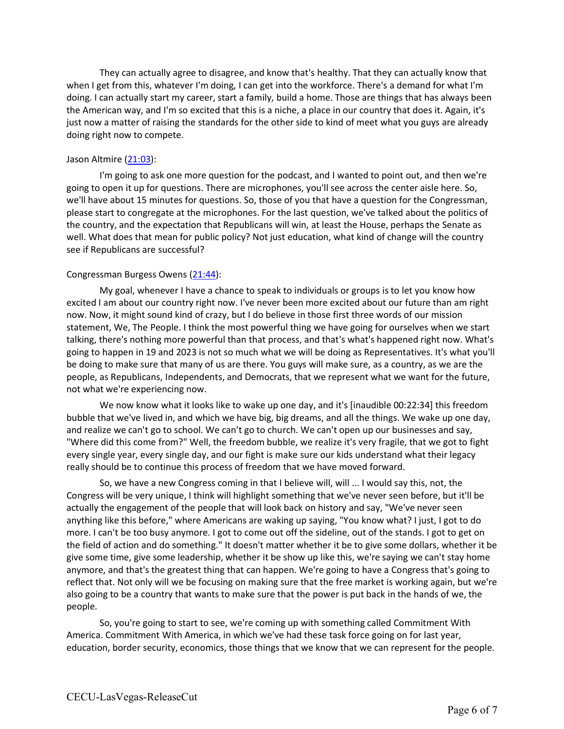They can actually agree to disagree, and know that's healthy. That they can actually know that when I get from this, whatever I'm doing, I can get into the workforce. There's a demand for what I'm doing. I can actually start my career, start a family, build a home. Those are things that has always been the American way, and I'm so excited that this is a niche, a place in our country that does it. Again, it's just now a matter of raising the standards for the other side to kind of meet what you guys are already doing right now to compete.

### Jason Altmire (21:03):

I'm going to ask one more question for the podcast, and I wanted to point out, and then we're going to open it up for questions. There are microphones, you'll see across the center aisle here. So, we'll have about 15 minutes for questions. So, those of you that have a question for the Congressman, please start to congregate at the microphones. For the last question, we've talked about the politics of the country, and the expectation that Republicans will win, at least the House, perhaps the Senate as well. What does that mean for public policy? Not just education, what kind of change will the country see if Republicans are successful?

### Congressman Burgess Owens (21:44):

My goal, whenever I have a chance to speak to individuals or groups is to let you know how excited I am about our country right now. I've never been more excited about our future than am right now. Now, it might sound kind of crazy, but I do believe in those first three words of our mission statement, We, The People. I think the most powerful thing we have going for ourselves when we start talking, there's nothing more powerful than that process, and that's what's happened right now. What's going to happen in 19 and 2023 is not so much what we will be doing as Representatives. It's what you'll be doing to make sure that many of us are there. You guys will make sure, as a country, as we are the people, as Republicans, Independents, and Democrats, that we represent what we want for the future, not what we're experiencing now.

We now know what it looks like to wake up one day, and it's [inaudible 00:22:34] this freedom bubble that we've lived in, and which we have big, big dreams, and all the things. We wake up one day, and realize we can't go to school. We can't go to church. We can't open up our businesses and say, "Where did this come from?" Well, the freedom bubble, we realize it's very fragile, that we got to fight every single year, every single day, and our fight is make sure our kids understand what their legacy really should be to continue this process of freedom that we have moved forward.

So, we have a new Congress coming in that I believe will, will ... I would say this, not, the Congress will be very unique, I think will highlight something that we've never seen before, but it'll be actually the engagement of the people that will look back on history and say, "We've never seen anything like this before," where Americans are waking up saying, "You know what? I just, I got to do more. I can't be too busy anymore. I got to come out off the sideline, out of the stands. I got to get on the field of action and do something." It doesn't matter whether it be to give some dollars, whether it be give some time, give some leadership, whether it be show up like this, we're saying we can't stay home anymore, and that's the greatest thing that can happen. We're going to have a Congress that's going to reflect that. Not only will we be focusing on making sure that the free market is working again, but we're also going to be a country that wants to make sure that the power is put back in the hands of we, the people.

So, you're going to start to see, we're coming up with something called Commitment With America. Commitment With America, in which we've had these task force going on for last year, education, border security, economics, those things that we know that we can represent for the people.